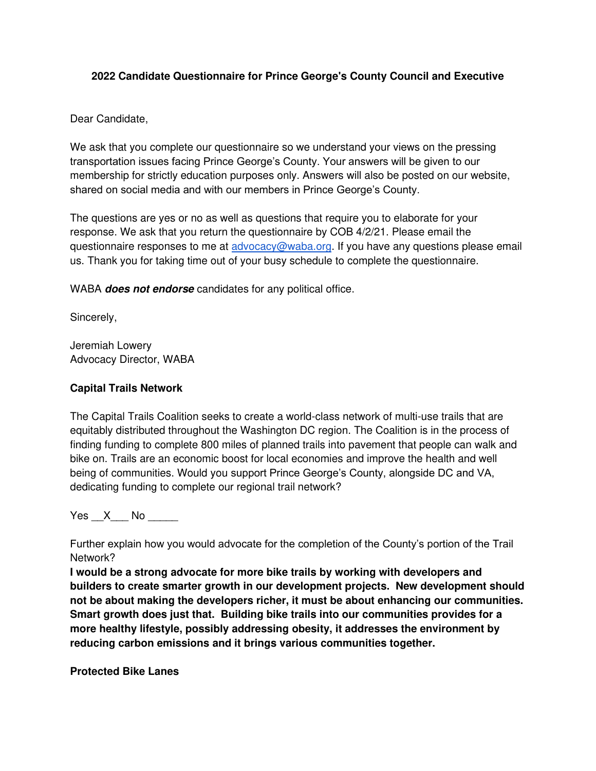#### **2022 Candidate Questionnaire for Prince George's County Council and Executive**

Dear Candidate,

We ask that you complete our questionnaire so we understand your views on the pressing transportation issues facing Prince George's County. Your answers will be given to our membership for strictly education purposes only. Answers will also be posted on our website, shared on social media and with our members in Prince George's County.

The questions are yes or no as well as questions that require you to elaborate for your response. We ask that you return the questionnaire by COB 4/2/21. Please email the questionnaire responses to me at [advocacy@waba.org.](mailto:advocacy@waba.org) If you have any questions please email us. Thank you for taking time out of your busy schedule to complete the questionnaire.

WABA **does not endorse** candidates for any political office.

Sincerely,

Jeremiah Lowery Advocacy Director, WABA

#### **Capital Trails Network**

The Capital Trails Coalition seeks to create a world-class network of multi-use trails that are equitably distributed throughout the Washington DC region. The Coalition is in the process of finding funding to complete 800 miles of planned trails into pavement that people can walk and bike on. Trails are an economic boost for local economies and improve the health and well being of communities. Would you support Prince George's County, alongside DC and VA, dedicating funding to complete our regional trail network?

Yes X No  $\blacksquare$ 

Further explain how you would advocate for the completion of the County's portion of the Trail Network?

**I would be a strong advocate for more bike trails by working with developers and builders to create smarter growth in our development projects. New development should not be about making the developers richer, it must be about enhancing our communities. Smart growth does just that. Building bike trails into our communities provides for a more healthy lifestyle, possibly addressing obesity, it addresses the environment by reducing carbon emissions and it brings various communities together.** 

**Protected Bike Lanes**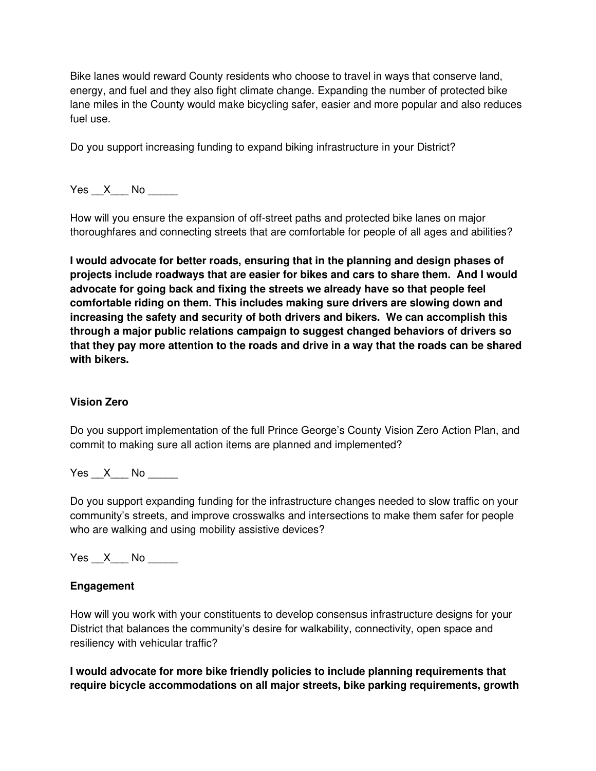Bike lanes would reward County residents who choose to travel in ways that conserve land, energy, and fuel and they also fight climate change. Expanding the number of protected bike lane miles in the County would make bicycling safer, easier and more popular and also reduces fuel use.

Do you support increasing funding to expand biking infrastructure in your District?

Yes X No  $\blacksquare$ 

How will you ensure the expansion of off-street paths and protected bike lanes on major thoroughfares and connecting streets that are comfortable for people of all ages and abilities?

**I would advocate for better roads, ensuring that in the planning and design phases of projects include roadways that are easier for bikes and cars to share them. And I would advocate for going back and fixing the streets we already have so that people feel comfortable riding on them. This includes making sure drivers are slowing down and increasing the safety and security of both drivers and bikers. We can accomplish this through a major public relations campaign to suggest changed behaviors of drivers so that they pay more attention to the roads and drive in a way that the roads can be shared with bikers.** 

## **Vision Zero**

Do you support implementation of the full Prince George's County Vision Zero Action Plan, and commit to making sure all action items are planned and implemented?

Yes X No  $\blacksquare$ 

Do you support expanding funding for the infrastructure changes needed to slow traffic on your community's streets, and improve crosswalks and intersections to make them safer for people who are walking and using mobility assistive devices?

Yes X No  $\blacksquare$ 

## **Engagement**

How will you work with your constituents to develop consensus infrastructure designs for your District that balances the community's desire for walkability, connectivity, open space and resiliency with vehicular traffic?

**I would advocate for more bike friendly policies to include planning requirements that require bicycle accommodations on all major streets, bike parking requirements, growth**